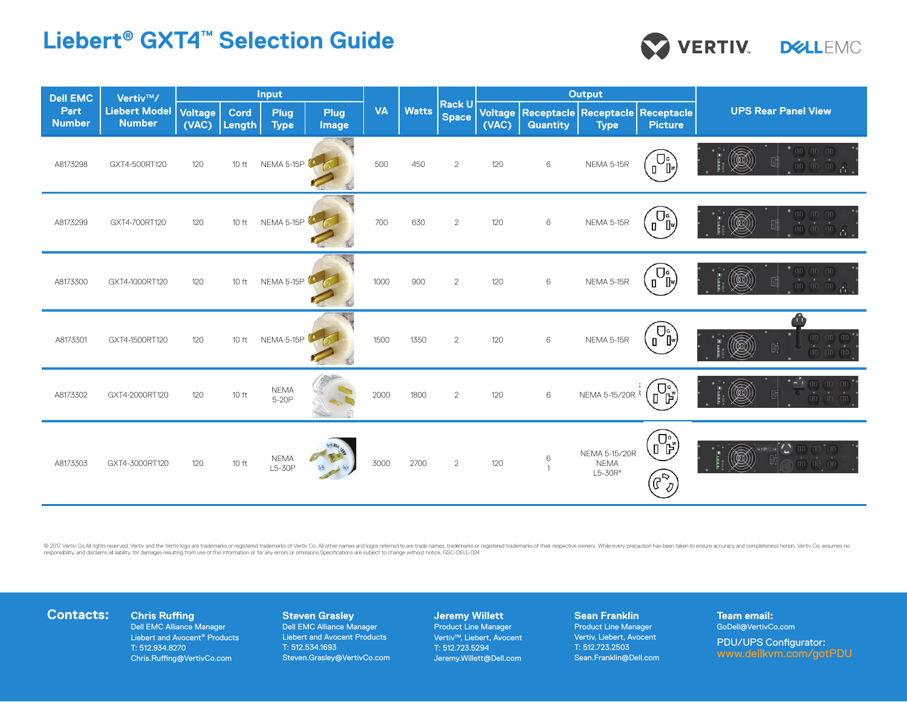# **Liebert® GXT4™ Selection Guide**

| <b>Dell EMC</b><br>Part<br><b>Number</b> | Vertiv™/<br><b>Liebert Model</b><br><b>Number</b> | Input                   |                       |                            |                      |           |              |                               | <b>Output</b>    |                     |                                                     |                                                        |                                                                                                                 |
|------------------------------------------|---------------------------------------------------|-------------------------|-----------------------|----------------------------|----------------------|-----------|--------------|-------------------------------|------------------|---------------------|-----------------------------------------------------|--------------------------------------------------------|-----------------------------------------------------------------------------------------------------------------|
|                                          |                                                   | <b>Voltage</b><br>(VAC) | <b>Cord</b><br>Length | <b>Plug</b><br><b>Type</b> | <b>Plug</b><br>Image | <b>VA</b> | <b>Watts</b> | <b>Rack U</b><br><b>Space</b> | Voltage<br>(VAC) | <b>Quantity</b>     | Receptacle   Receptacle   Receptacle<br><b>Type</b> | <b>Picture</b>                                         | <b>UPS Rear Panel View</b>                                                                                      |
| A8173298                                 | GXT4-500RT120                                     | 120                     | $10$ ft               | NEMA 5-15P                 |                      | 500       | 450          | $\overline{2}$                | 120              | 6                   | NEMA 5-15R                                          | $\overline{U}$<br>∫"<br>$\mathbf{I}$                   | Ø<br>$\boxplus$                                                                                                 |
| A8173299                                 | GXT4-700RT120                                     | 120                     | $10$ ft               | NEMA 5-15P                 |                      | 700       | 630          | $\overline{2}$                | 120              | 6                   | NEMA 5-15R                                          |                                                        | $\bigcirc \!\!\!\! \bigcirc$<br>$\mathbb{B}$                                                                    |
| A8173300                                 | GXT4-1000RT120                                    | 120                     | $10$ ft               | NEMA 5-15P                 |                      | 1000      | 900          | $\overline{2}$                | 120              | 6                   | NEMA 5-15R                                          | $\Box_{\P}^{\circ}$                                    | Œ<br>$\mathbb{B}$                                                                                               |
| A8173301                                 | GXT4-1500RT120                                    | 120                     | $10$ ft               | NEMA 5-15P                 |                      | 1500      | 1350         | $\overline{2}$                | 120              | 6                   | NEMA 5-15R                                          | $\overline{U}$<br>∫"<br>$\mathbf{u}$                   | $(n)$ $(n)$ $(n)$<br>$\mathbb{B}$<br>00)<br>$(n)$ $(n)$ $(n)$                                                   |
| A8173302                                 | GXT4-2000RT120                                    | 120                     | 10 ft                 | <b>NEMA</b><br>5-20P       |                      | 2000      | 1800         | $\overline{2}$                | 120              | $\,6\,$             | NEMA 5-15/20R <sup>1</sup>                          | ้)−ຼ                                                   | $-1$ and an and<br>愈<br>$\mathbb{B}^{\mathsf{i}}$<br>an an an                                                   |
| A8173303                                 | GXT4-3000RT120                                    | 120                     | 10 ft                 | <b>NEMA</b><br>L5-30P      |                      | 3000      | 2700         | $\overline{2}$                | 120              | 6<br>$\overline{1}$ | <b>NEMA 5-15/20R</b><br><b>NEMA</b><br>L5-30R"      | $\overline{U}$<br>JĔ,<br>$\left(\mathbb{F}_{q}\right)$ | $\left( 00 \right) \left( 00 \right) \left( 00 \right)$<br>頤<br>$\overline{CD}$ $\overline{CD}$ $\overline{CD}$ |

© 2017 Vertiv Co.All rights reserved. Vertiv and the Vertiv logo are trademarks or registered trademarks of Vertiv Co. All other names and logos referred to are trade names, trademarks or registred trademarks or registred

# **Contacts:** Chris Ruffing

Dell EMC Alliance Manager Liebert and Avocent® Products T: 512.934.8270 Chris.Ruffing@VertivCo.com

## **Steven Grasley**

Dell EMC Alliance Manager Liebert and Avocent Products T: 512.534.1693 Steven.Grasley@VertivCo.com

#### **Jeremy Willett**

Product Line Manager Vertiv™, Liebert, Avocent T: 512.723.5294 Jeremy.Willett@Dell.com

#### **Sean Franklin** Product Line Manager Vertiv, Liebert, Avocent T: 512.723.2503 Sean.Franklin@Dell.com

**Team email:** GoDell@VertivCo.com

> PDU/UPS Configurator: www.dellkvm.com/gotPDU

VERTIV. DIELEMC